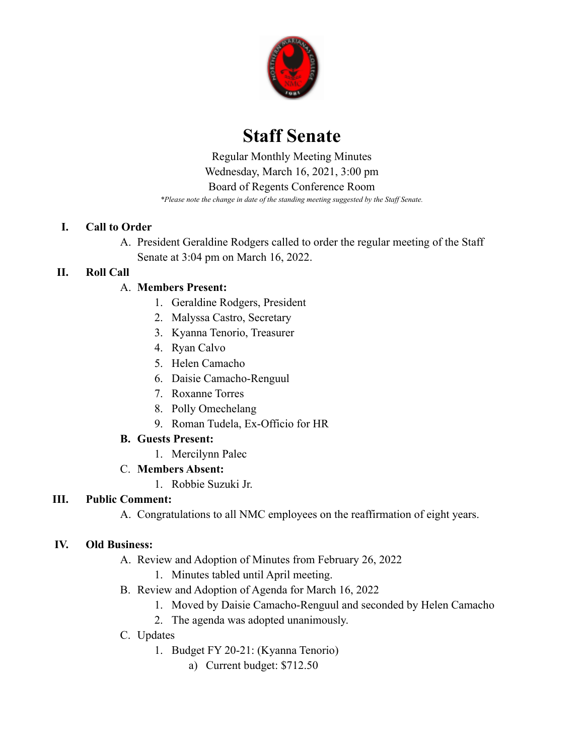

# **Staff Senate**

 *\*Please note the change in date of the standing meeting suggested by the Staff Senate.* Regular Monthly Meeting Minutes Wednesday, March 16, 2021, 3:00 pm Board of Regents Conference Room

#### **I. Call to Order**

A. President Geraldine Rodgers called to order the regular meeting of the Staff Senate at 3:04 pm on March 16, 2022.

# **II. Roll Call**

# A. **Members Present:**

- 1. Geraldine Rodgers, President
- 2. Malyssa Castro, Secretary
- 3. Kyanna Tenorio, Treasurer
- 4. Ryan Calvo
- 5. Helen Camacho
- 6. Daisie Camacho-Renguul
- 7. Roxanne Torres
- 8. Polly Omechelang
- 9. Roman Tudela, Ex-Officio for HR

# **B. Guests Present:**

- 1. Mercilynn Palec
- C. **Members Absent:**
	- 1. Robbie Suzuki Jr.

# **III. Public Comment:**

A. Congratulations to all NMC employees on the reaffirmation of eight years.

#### **IV. Old Business:**

- A. Review and Adoption of Minutes from February 26, 2022
	- 1. Minutes tabled until April meeting.
- B. Review and Adoption of Agenda for March 16, 2022
	- 1. Moved by Daisie Camacho-Renguul and seconded by Helen Camacho
	- 2. The agenda was adopted unanimously.
- C. Updates
	- 1. Budget FY 20-21: (Kyanna Tenorio)
		- a) Current budget: \$712.50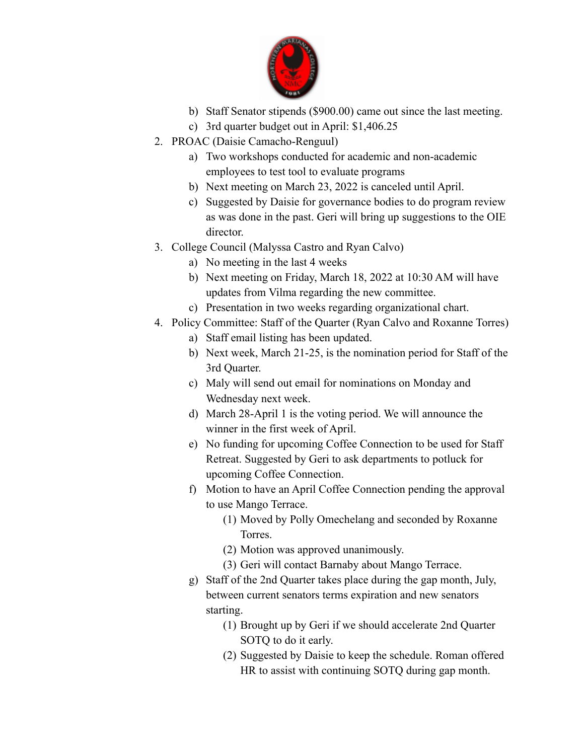

- b) Staff Senator stipends (\$900.00) came out since the last meeting.
- c) 3rd quarter budget out in April: [\\$1,406.25](https://1,406.25)
- 2. PROAC (Daisie Camacho-Renguul)
	- a) Two workshops conducted for academic and non-academic employees to test tool to evaluate programs
	- b) Next meeting on March 23, 2022 is canceled until April.
	- c) Suggested by Daisie for governance bodies to do program review as was done in the past. Geri will bring up suggestions to the OIE director.
- 3. College Council (Malyssa Castro and Ryan Calvo)
	- a) No meeting in the last 4 weeks
		- b) Next meeting on Friday, March 18, 2022 at 10:30 AM will have updates from Vilma regarding the new committee.
		- c) Presentation in two weeks regarding organizational chart.
- 4. Policy Committee: Staff of the Quarter (Ryan Calvo and Roxanne Torres)
	- a) Staff email listing has been updated.
	- b) Next week, March 21-25, is the nomination period for Staff of the 3rd Quarter.
	- c) Maly will send out email for nominations on Monday and Wednesday next week.
	- d) March 28-April 1 is the voting period. We will announce the winner in the first week of April.
	- e) No funding for upcoming Coffee Connection to be used for Staff Retreat. Suggested by Geri to ask departments to potluck for upcoming Coffee Connection.
	- f) Motion to have an April Coffee Connection pending the approval to use Mango Terrace.
		- (1) Moved by Polly Omechelang and seconded by Roxanne Torres.
		- (2) Motion was approved unanimously.
		- (3) Geri will contact Barnaby about Mango Terrace.
	- g) Staff of the 2nd Quarter takes place during the gap month, July, between current senators terms expiration and new senators starting.
		- (1) Brought up by Geri if we should accelerate 2nd Quarter SOTQ to do it early.
		- (2) Suggested by Daisie to keep the schedule. Roman offered HR to assist with continuing SOTQ during gap month.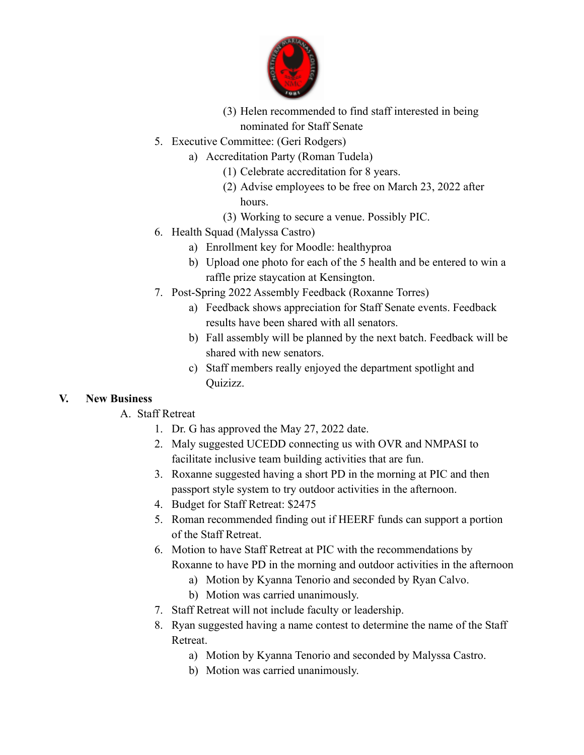

- (3) Helen recommended to find staff interested in being nominated for Staff Senate
- 5. Executive Committee: (Geri Rodgers)
	- a) Accreditation Party (Roman Tudela)
		- (1) Celebrate accreditation for 8 years.
		- (2) Advise employees to be free on March 23, 2022 after hours.
		- (3) Working to secure a venue. Possibly PIC.
- 6. Health Squad (Malyssa Castro)
	- a) Enrollment key for Moodle: healthyproa
	- b) Upload one photo for each of the 5 health and be entered to win a raffle prize staycation at Kensington.
- 7. Post-Spring 2022 Assembly Feedback (Roxanne Torres)
	- a) Feedback shows appreciation for Staff Senate events. Feedback results have been shared with all senators.
	- b) Fall assembly will be planned by the next batch. Feedback will be shared with new senators.
	- c) Staff members really enjoyed the department spotlight and Quizizz.

#### **V. New Business**

- A. Staff Retreat
	- 1. Dr. G has approved the May 27, 2022 date.
	- 2. Maly suggested UCEDD connecting us with OVR and NMPASI to facilitate inclusive team building activities that are fun.
	- 3. Roxanne suggested having a short PD in the morning at PIC and then passport style system to try outdoor activities in the afternoon.
	- 4. Budget for Staff Retreat: \$2475
	- 5. Roman recommended finding out if HEERF funds can support a portion of the Staff Retreat.
	- 6. Motion to have Staff Retreat at PIC with the recommendations by Roxanne to have PD in the morning and outdoor activities in the afternoon
		- a) Motion by Kyanna Tenorio and seconded by Ryan Calvo.
		- b) Motion was carried unanimously.
	- 7. Staff Retreat will not include faculty or leadership.
	- 8. Ryan suggested having a name contest to determine the name of the Staff Retreat.
		- a) Motion by Kyanna Tenorio and seconded by Malyssa Castro.
		- b) Motion was carried unanimously.